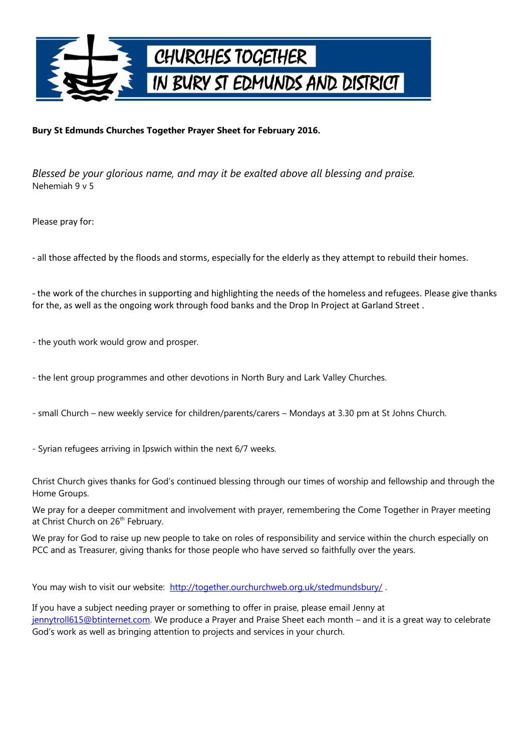

## **Bury St Edmunds Churches Together Prayer Sheet for February 2016.**

*Blessed be your glorious name, and may it be exalted above all blessing and praise.* Nehemiah 9 v 5

Please pray for:

- all those affected by the floods and storms, especially for the elderly as they attempt to rebuild their homes.

- the work of the churches in supporting and highlighting the needs of the homeless and refugees. Please give thanks for the, as well as the ongoing work through food banks and the Drop In Project at Garland Street .

- the youth work would grow and prosper.
- the lent group programmes and other devotions in North Bury and Lark Valley Churches.
- small Church new weekly service for children/parents/carers Mondays at 3.30 pm at St Johns Church.
- Syrian refugees arriving in Ipswich within the next 6/7 weeks.

Christ Church gives thanks for God's continued blessing through our times of worship and fellowship and through the Home Groups.

We pray for a deeper commitment and involvement with prayer, remembering the Come Together in Prayer meeting at Christ Church on 26<sup>th</sup> February.

We pray for God to raise up new people to take on roles of responsibility and service within the church especially on PCC and as Treasurer, giving thanks for those people who have served so faithfully over the years.

You may wish to visit our website: http://together.ourchurchweb.org.uk/stedmundsbury/.

If you have a subject needing prayer or something to offer in praise, please email Jenny at [jennytroll615@btinternet.com.](mailto:jennytroll615@btinternet.com) We produce a Prayer and Praise Sheet each month - and it is a great way to celebrate God's work as well as bringing attention to projects and services in your church.